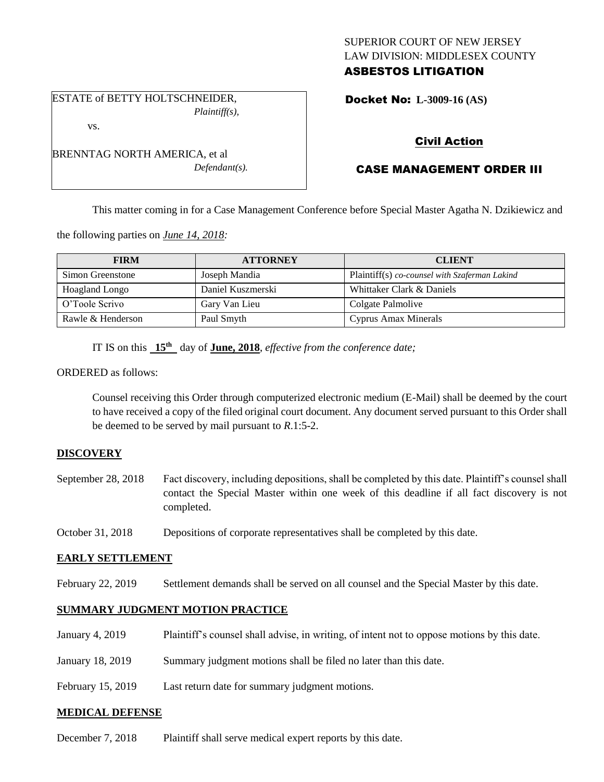# SUPERIOR COURT OF NEW JERSEY LAW DIVISION: MIDDLESEX COUNTY ASBESTOS LITIGATION

Docket No: **L-3009-16 (AS)** 

# Civil Action

# CASE MANAGEMENT ORDER III

This matter coming in for a Case Management Conference before Special Master Agatha N. Dzikiewicz and

the following parties on *June 14, 2018:*

| <b>FIRM</b>           | <b>ATTORNEY</b>   | <b>CLIENT</b>                                 |
|-----------------------|-------------------|-----------------------------------------------|
| Simon Greenstone      | Joseph Mandia     | Plaintiff(s) co-counsel with Szaferman Lakind |
| <b>Hoagland Longo</b> | Daniel Kuszmerski | Whittaker Clark & Daniels                     |
| O'Toole Scrivo        | Gary Van Lieu     | Colgate Palmolive                             |
| Rawle & Henderson     | Paul Smyth        | Cyprus Amax Minerals                          |

IT IS on this  $15<sup>th</sup>$  day of **June, 2018**, *effective from the conference date*;

*Defendant(s).*

ORDERED as follows:

Counsel receiving this Order through computerized electronic medium (E-Mail) shall be deemed by the court to have received a copy of the filed original court document. Any document served pursuant to this Order shall be deemed to be served by mail pursuant to *R*.1:5-2.

# **DISCOVERY**

- September 28, 2018 Fact discovery, including depositions, shall be completed by this date. Plaintiff's counsel shall contact the Special Master within one week of this deadline if all fact discovery is not completed.
- October 31, 2018 Depositions of corporate representatives shall be completed by this date.

#### **EARLY SETTLEMENT**

February 22, 2019 Settlement demands shall be served on all counsel and the Special Master by this date.

### **SUMMARY JUDGMENT MOTION PRACTICE**

- January 4, 2019 Plaintiff's counsel shall advise, in writing, of intent not to oppose motions by this date.
- January 18, 2019 Summary judgment motions shall be filed no later than this date.
- February 15, 2019 Last return date for summary judgment motions.

#### **MEDICAL DEFENSE**

December 7, 2018 Plaintiff shall serve medical expert reports by this date.

# *Plaintiff(s),* vs.

BRENNTAG NORTH AMERICA, et al

ESTATE of BETTY HOLTSCHNEIDER,